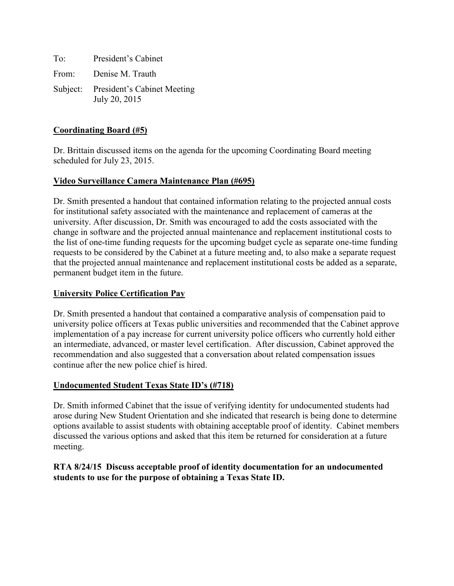To: President's Cabinet From: Denise M. Trauth Subject: President's Cabinet Meeting July 20, 2015

## **Coordinating Board (#5)**

Dr. Brittain discussed items on the agenda for the upcoming Coordinating Board meeting scheduled for July 23, 2015.

## **Video Surveillance Camera Maintenance Plan (#695)**

Dr. Smith presented a handout that contained information relating to the projected annual costs for institutional safety associated with the maintenance and replacement of cameras at the university. After discussion, Dr. Smith was encouraged to add the costs associated with the change in software and the projected annual maintenance and replacement institutional costs to the list of one-time funding requests for the upcoming budget cycle as separate one-time funding requests to be considered by the Cabinet at a future meeting and, to also make a separate request that the projected annual maintenance and replacement institutional costs be added as a separate, permanent budget item in the future.

### **University Police Certification Pay**

Dr. Smith presented a handout that contained a comparative analysis of compensation paid to university police officers at Texas public universities and recommended that the Cabinet approve implementation of a pay increase for current university police officers who currently hold either an intermediate, advanced, or master level certification. After discussion, Cabinet approved the recommendation and also suggested that a conversation about related compensation issues continue after the new police chief is hired.

#### **Undocumented Student Texas State ID's (#718)**

Dr. Smith informed Cabinet that the issue of verifying identity for undocumented students had arose during New Student Orientation and she indicated that research is being done to determine options available to assist students with obtaining acceptable proof of identity. Cabinet members discussed the various options and asked that this item be returned for consideration at a future meeting.

#### **RTA 8/24/15 Discuss acceptable proof of identity documentation for an undocumented students to use for the purpose of obtaining a Texas State ID.**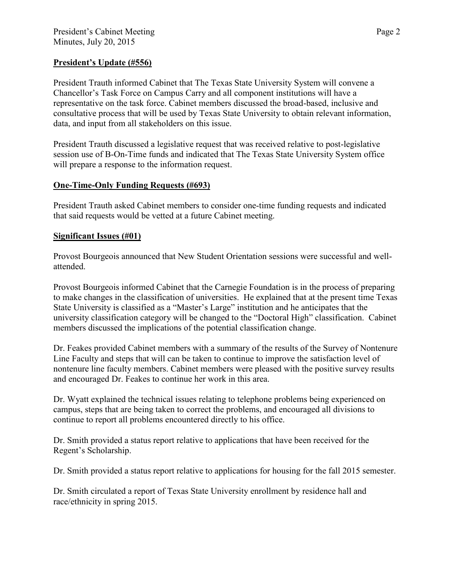## **President's Update (#556)**

President Trauth informed Cabinet that The Texas State University System will convene a Chancellor's Task Force on Campus Carry and all component institutions will have a representative on the task force. Cabinet members discussed the broad-based, inclusive and consultative process that will be used by Texas State University to obtain relevant information, data, and input from all stakeholders on this issue.

President Trauth discussed a legislative request that was received relative to post-legislative session use of B-On-Time funds and indicated that The Texas State University System office will prepare a response to the information request.

# **One-Time-Only Funding Requests (#693)**

President Trauth asked Cabinet members to consider one-time funding requests and indicated that said requests would be vetted at a future Cabinet meeting.

## **Significant Issues (#01)**

Provost Bourgeois announced that New Student Orientation sessions were successful and wellattended.

Provost Bourgeois informed Cabinet that the Carnegie Foundation is in the process of preparing to make changes in the classification of universities. He explained that at the present time Texas State University is classified as a "Master's Large" institution and he anticipates that the university classification category will be changed to the "Doctoral High" classification. Cabinet members discussed the implications of the potential classification change.

Dr. Feakes provided Cabinet members with a summary of the results of the Survey of Nontenure Line Faculty and steps that will can be taken to continue to improve the satisfaction level of nontenure line faculty members. Cabinet members were pleased with the positive survey results and encouraged Dr. Feakes to continue her work in this area.

Dr. Wyatt explained the technical issues relating to telephone problems being experienced on campus, steps that are being taken to correct the problems, and encouraged all divisions to continue to report all problems encountered directly to his office.

Dr. Smith provided a status report relative to applications that have been received for the Regent's Scholarship.

Dr. Smith provided a status report relative to applications for housing for the fall 2015 semester.

Dr. Smith circulated a report of Texas State University enrollment by residence hall and race/ethnicity in spring 2015.